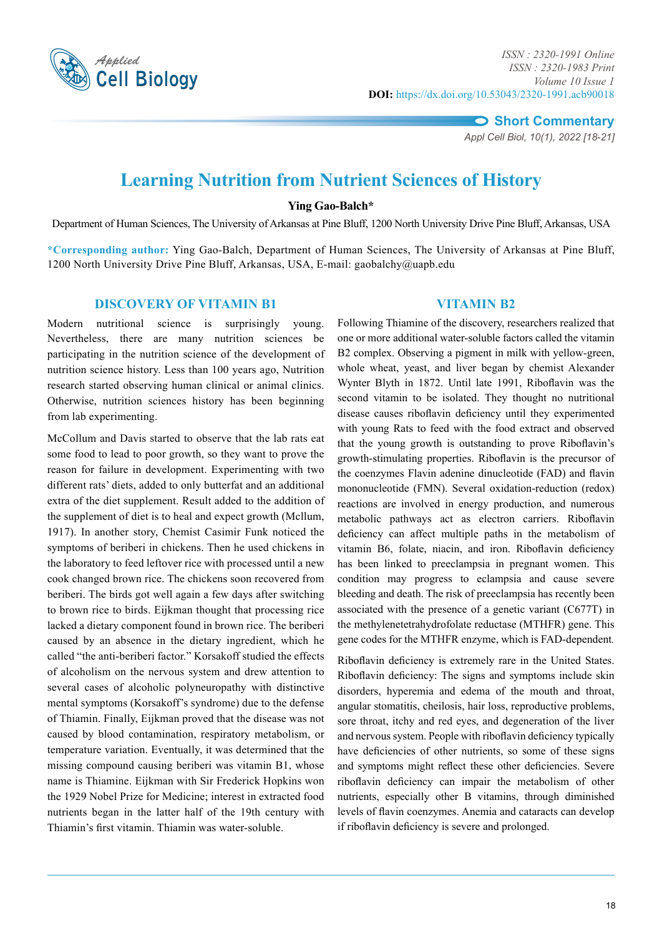

*Appl Cell Biol, 10(1), 2022 [18-21]*

# **Learning Nutrition from Nutrient Sciences of History**

# **Ying Gao-Balch\***

Department of Human Sciences, The University of Arkansas at Pine Bluff, 1200 North University Drive Pine Bluff, Arkansas, USA

**\*Corresponding author:** Ying Gao-Balch, Department of Human Sciences, The University of Arkansas at Pine Bluff, 1200 North University Drive Pine Bluff, Arkansas, USA, E-mail: gaobalchy@uapb.edu

# **Discovery of Vitamin B1**

Modern nutritional science is surprisingly young. Nevertheless, there are many nutrition sciences be participating in the nutrition science of the development of nutrition science history. Less than 100 years ago, Nutrition research started observing human clinical or animal clinics. Otherwise, nutrition sciences history has been beginning from lab experimenting.

McCollum and Davis started to observe that the lab rats eat some food to lead to poor growth, so they want to prove the reason for failure in development. Experimenting with two different rats' diets, added to only butterfat and an additional extra of the diet supplement. Result added to the addition of the supplement of diet is to heal and expect growth (Mcllum, 1917). In another story, Chemist Casimir Funk noticed the symptoms of beriberi in chickens. Then he used chickens in the laboratory to feed leftover rice with processed until a new cook changed brown rice. The chickens soon recovered from beriberi. The birds got well again a few days after switching to brown rice to birds. Eijkman thought that processing rice lacked a dietary component found in brown rice. The beriberi caused by an absence in the dietary ingredient, which he called "the anti-beriberi factor." Korsakoff studied the effects of [alcoholism](https://en.wikipedia.org/wiki/Alcoholism) on the [nervous system](https://en.wikipedia.org/wiki/Nervous_system) and drew attention to several cases of alcoholic [polyneuropathy](https://en.wikipedia.org/wiki/Polyneuropathy) with distinctive mental [symptoms](https://en.wikipedia.org/wiki/Symptom) ([Korsakoff's syndrome\)](https://en.wikipedia.org/wiki/Korsakoff%27s_syndrome) due to the defense of Thiamin. Finally, Eijkman proved that the disease was not caused by blood contamination, respiratory metabolism, or temperature variation. Eventually, it was determined that the missing compound causing beriberi was vitamin B1, whose name is Thiamine. Eijkman with Sir Frederick Hopkins won the 1929 Nobel Prize for Medicine; interest in extracted food nutrients began in the latter half of the 19th century with Thiamin's first vitamin. Thiamin was water-soluble.

# **Vitamin B2**

Following Thiamine of the discovery, researchers realized that one or more additional water-soluble factors called the vitamin B2 complex. Observing a pigment in milk with yellow-green, whole wheat, yeast, and liver began by chemist Alexander Wynter Blyth in 1872. Until late 1991, Riboflavin was the second vitamin to be isolated. They thought no nutritional disease causes riboflavin deficiency until they experimented with young Rats to feed with the food extract and observed that the young growth is outstanding to prove Riboflavin's growth-stimulating properties. Riboflavin is the precursor of the coenzymes Flavin adenine dinucleotide (FAD) and flavin mononucleotide (FMN). Several oxidation-reduction (redox) reactions are involved in energy production, and numerous metabolic pathways act as electron carriers. Riboflavin deficiency can affect multiple paths in the metabolism of vitamin B6, folate, niacin, and iron. Riboflavin deficiency has been linked to preeclampsia in pregnant women. This condition may progress to eclampsia and cause severe bleeding and death. The risk of preeclampsia has recently been associated with the presence of a genetic variant (C677T) in the methylenetetrahydrofolate reductase (MTHFR) gene. This gene codes for the MTHFR enzyme, which is FAD-dependent*.*

Riboflavin deficiency is extremely rare in the United States. Riboflavin deficiency: The signs and symptoms include skin disorders, hyperemia and edema of the mouth and throat, angular stomatitis, cheilosis, hair loss, reproductive problems, sore throat, itchy and red eyes, and degeneration of the liver and nervous system. People with riboflavin deficiency typically have deficiencies of other nutrients, so some of these signs and symptoms might reflect these other deficiencies. Severe riboflavin deficiency can impair the metabolism of other nutrients, especially other B vitamins, through diminished levels of flavin coenzymes. Anemia and cataracts can develop if riboflavin deficiency is severe and prolonged.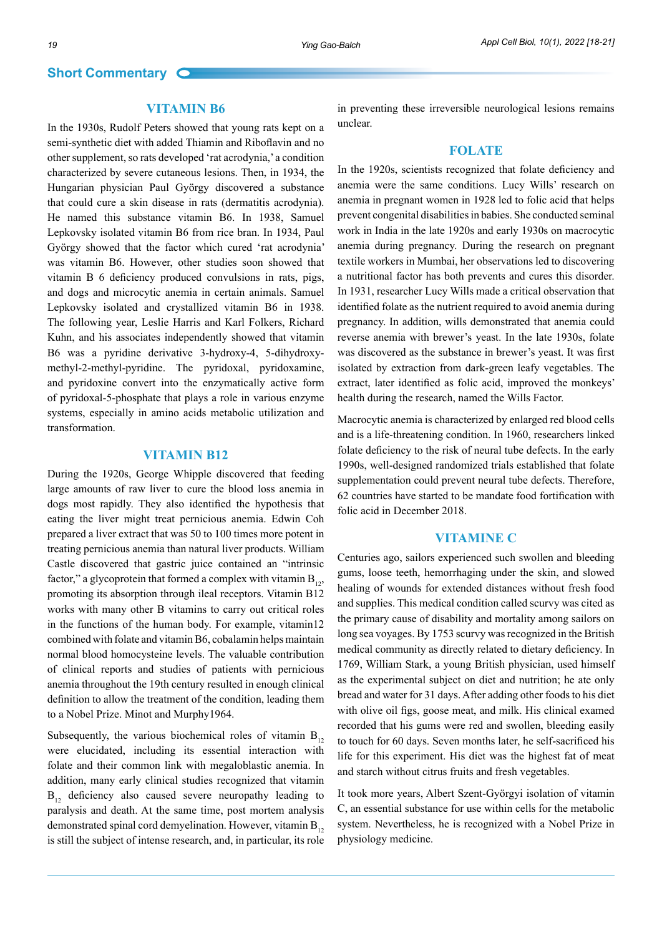#### **Vitamin B6**

In the 1930s, Rudolf Peters showed that young rats kept on a semi-synthetic diet with added Thiamin and Riboflavin and no other supplement, so rats developed 'rat acrodynia,' a condition characterized by severe cutaneous lesions. Then, in 1934, the Hungarian physician Paul György discovered a substance that could cure a skin disease in rats (dermatitis acrodynia). He named this substance vitamin B6. In 1938, Samuel Lepkovsky isolated vitamin B6 from rice bran. In 1934, Paul György showed that the factor which cured 'rat acrodynia' was vitamin B6. However, other studies soon showed that vitamin B 6 deficiency produced convulsions in rats, pigs, and dogs and microcytic anemia in certain animals. Samuel Lepkovsky isolated and crystallized vitamin B6 in 1938. The following year, Leslie Harris and Karl Folkers, Richard Kuhn, and his associates independently showed that vitamin B6 was a pyridine derivative 3-hydroxy-4, 5-dihydroxymethyl-2-methyl-pyridine. The pyridoxal, pyridoxamine, and pyridoxine convert into the enzymatically active form of pyridoxal-5-phosphate that plays a role in various enzyme systems, especially in amino acids metabolic utilization and transformation.

# **Vitamin B12**

During the 1920s, George Whipple discovered that feeding large amounts of raw liver to cure the blood loss anemia in dogs most rapidly. They also identified the hypothesis that eating the liver might treat pernicious anemia. Edwin Coh prepared a liver extract that was 50 to 100 times more potent in treating pernicious anemia than natural liver products. William Castle discovered that gastric juice contained an "intrinsic factor," a glycoprotein that formed a complex with vitamin  $B_{12}$ , promoting its absorption through ileal receptors. Vitamin B12 works with many other B vitamins to carry out critical roles in the functions of the human body. For example, vitamin12 combined with folate and vitamin B6, cobalamin helps maintain normal blood homocysteine levels. The valuable contribution of clinical reports and studies of patients with pernicious anemia throughout the 19th century resulted in enough clinical definition to allow the treatment of the condition, leading them to a Nobel Prize. Minot and Murphy1964.

Subsequently, the various biochemical roles of vitamin  $B_{12}$ were elucidated, including its essential interaction with folate and their common link with megaloblastic anemia. In addition, many early clinical studies recognized that vitamin  $B_{12}$  deficiency also caused severe neuropathy leading to paralysis and death. At the same time, post mortem analysis demonstrated spinal cord demyelination. However, vitamin  $B_{12}$ is still the subject of intense research, and, in particular, its role in preventing these irreversible neurological lesions remains unclear.

#### **Folate**

In the 1920s, scientists recognized that folate deficiency and anemia were the same conditions. Lucy Wills' research on anemia in pregnant women in 1928 led to folic acid that helps prevent congenital disabilities in babies. She conducted seminal work in India in the late 1920s and early 1930s on macrocytic anemia during pregnancy. During the research on pregnant textile workers in Mumbai, her observations led to discovering a nutritional factor has both prevents and cures this disorder. In 1931, researcher Lucy Wills made a critical observation that identified folate as the nutrient required to avoid anemia during pregnancy. In addition, wills demonstrated that anemia could reverse anemia with brewer's yeast. In the late 1930s, folate was discovered as the substance in brewer's yeast. It was first isolated by extraction from dark-green leafy vegetables. The extract, later identified as folic acid, improved the monkeys' health during the research, named the Wills Factor.

Macrocytic anemia is characterized by enlarged red blood cells and is a life-threatening condition. In 1960, researchers linked folate deficiency to the risk of neural tube defects. In the early 1990s, well-designed randomized trials established that folate supplementation could prevent neural tube defects. Therefore, 62 countries have started to be mandate food fortification with folic acid in December 2018.

### **Vitamine C**

Centuries ago, sailors experienced such swollen and bleeding gums, loose teeth, hemorrhaging under the skin, and slowed healing of wounds for extended distances without fresh food and supplies. This medical condition called scurvy was cited as the primary cause of disability and mortality among sailors on long sea voyages. By 1753 scurvy was recognized in the British medical community as directly related to dietary deficiency. In 1769, William Stark, a young British physician, used himself as the experimental subject on diet and nutrition; he ate only bread and water for 31 days. After adding other foods to his diet with olive oil figs, goose meat, and milk. His clinical examed recorded that his gums were red and swollen, bleeding easily to touch for 60 days. Seven months later, he self-sacrificed his life for this experiment. His diet was the highest fat of meat and starch without citrus fruits and fresh vegetables.

It took more years, Albert Szent-Györgyi isolation of vitamin C, an essential substance for use within cells for the metabolic system. Nevertheless, he is recognized with a Nobel Prize in physiology medicine.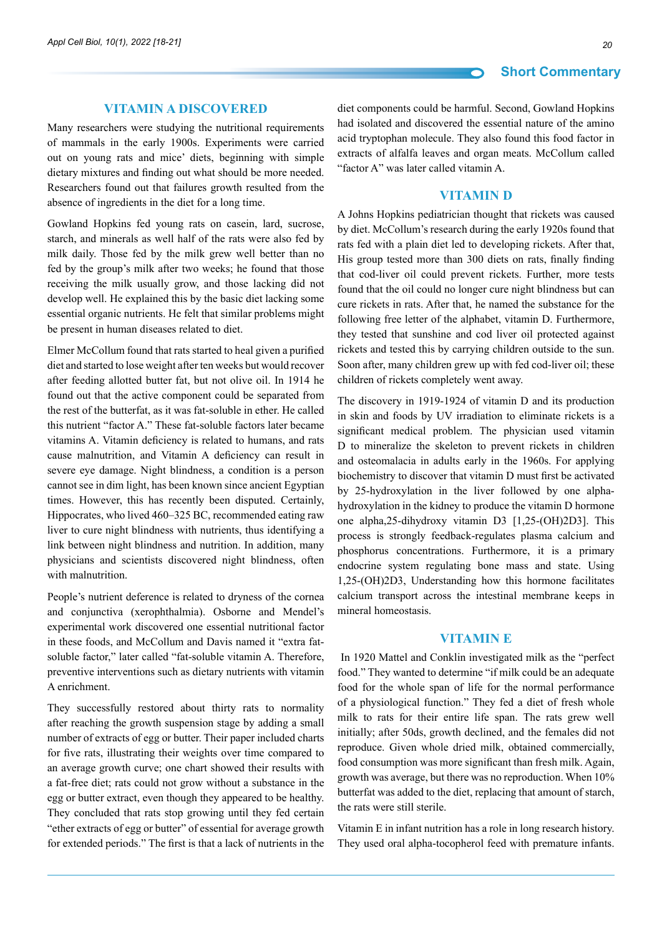#### **Vitamin A Discovered**

Many researchers were studying the nutritional requirements of mammals in the early 1900s. Experiments were carried out on young rats and mice' diets, beginning with simple dietary mixtures and finding out what should be more needed. Researchers found out that failures growth resulted from the absence of ingredients in the diet for a long time.

Gowland Hopkins fed young rats on casein, lard, sucrose, starch, and minerals as well half of the rats were also fed by milk daily. Those fed by the milk grew well better than no fed by the group's milk after two weeks; he found that those receiving the milk usually grow, and those lacking did not develop well. He explained this by the basic diet lacking some essential organic nutrients. He felt that similar problems might be present in human diseases related to diet.

Elmer McCollum found that rats started to heal given a purified diet and started to lose weight after ten weeks but would recover after feeding allotted butter fat, but not olive oil. In 1914 he found out that the active component could be separated from the rest of the butterfat, as it was fat-soluble in ether. He called this nutrient "factor A." These fat-soluble factors later became vitamins A. Vitamin deficiency is related to humans, and rats cause malnutrition, and Vitamin A deficiency can result in severe eye damage. Night blindness, a condition is a person cannot see in dim light, has been known since ancient Egyptian times. However, this has recently been disputed. Certainly, Hippocrates, who lived 460–325 BC, recommended eating raw liver to cure night blindness with nutrients, thus identifying a link between night blindness and nutrition. In addition, many physicians and scientists discovered night blindness, often with malnutrition.

People's nutrient deference is related to dryness of the cornea and conjunctiva (xerophthalmia). Osborne and Mendel's experimental work discovered one essential nutritional factor in these foods, and McCollum and Davis named it "extra fatsoluble factor," later called "fat-soluble vitamin A. Therefore, preventive interventions such as dietary nutrients with vitamin A enrichment.

They successfully restored about thirty rats to normality after reaching the growth suspension stage by adding a small number of extracts of egg or butter. Their paper included charts for five rats, illustrating their weights over time compared to an average growth curve; one chart showed their results with a fat-free diet; rats could not grow without a substance in the egg or butter extract, even though they appeared to be healthy. They concluded that rats stop growing until they fed certain "ether extracts of egg or butter" of essential for average growth for extended periods." The first is that a lack of nutrients in the

diet components could be harmful. Second, Gowland Hopkins had isolated and discovered the essential nature of the amino acid tryptophan molecule. They also found this food factor in extracts of alfalfa leaves and organ meats. McCollum called "factor A" was later called vitamin A.

# **Vitamin D**

A Johns Hopkins pediatrician thought that rickets was caused by diet. McCollum's research during the early 1920s found that rats fed with a plain diet led to developing rickets. After that, His group tested more than 300 diets on rats, finally finding that cod-liver oil could prevent rickets. Further, more tests found that the oil could no longer cure night blindness but can cure rickets in rats. After that, he named the substance for the following free letter of the alphabet, vitamin D. Furthermore, they tested that sunshine and cod liver oil protected against rickets and tested this by carrying children outside to the sun. Soon after, many children grew up with fed cod-liver oil; these children of rickets completely went away.

The discovery in 1919-1924 of vitamin D and its production in skin and foods by UV irradiation to eliminate rickets is a significant medical problem. The physician used vitamin D to mineralize the skeleton to prevent rickets in children and osteomalacia in adults early in the 1960s. For applying biochemistry to discover that vitamin D must first be activated by 25-hydroxylation in the liver followed by one alphahydroxylation in the kidney to produce the vitamin D hormone one alpha,25-dihydroxy vitamin D3 [1,25-(OH)2D3]. This process is strongly feedback-regulates plasma calcium and phosphorus concentrations. Furthermore, it is a primary endocrine system regulating bone mass and state. Using 1,25-(OH)2D3, Understanding how this hormone facilitates calcium transport across the intestinal membrane keeps in mineral homeostasis.

### **Vitamin E**

In 1920 Mattel and Conklin investigated milk as the "perfect food." They wanted to determine "if milk could be an adequate food for the whole span of life for the normal performance of a physiological function." They fed a diet of fresh whole milk to rats for their entire life span. The rats grew well initially; after 50ds, growth declined, and the females did not reproduce. Given whole dried milk, obtained commercially, food consumption was more significant than fresh milk. Again, growth was average, but there was no reproduction. When 10% butterfat was added to the diet, replacing that amount of starch, the rats were still sterile.

Vitamin E in infant nutrition has a role in long research history. They used oral alpha-tocopherol feed with premature infants.